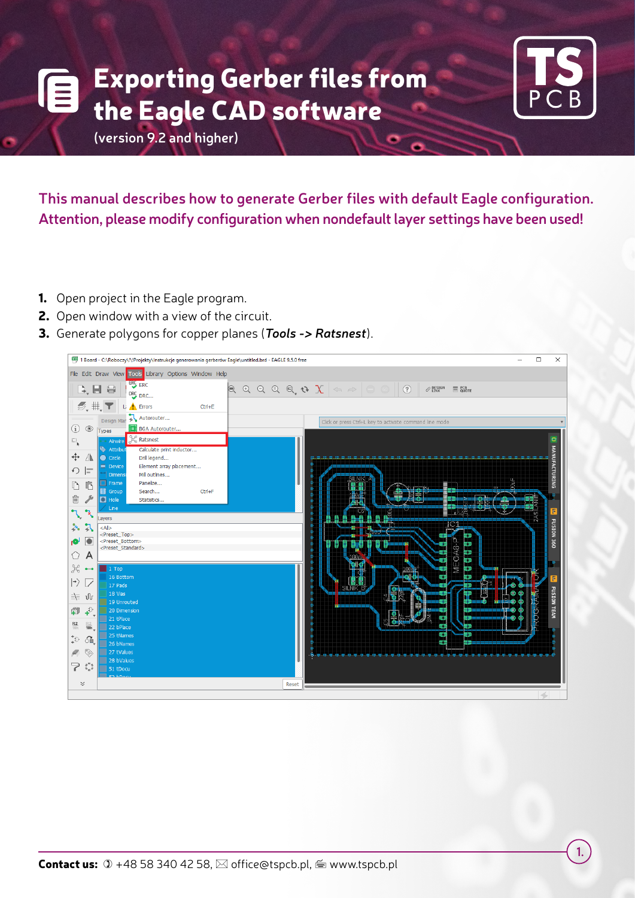## **TS PCB** 2019-10-01 **Exporting Gerber files from** *tel.: 58 340 42 54 mail:* office@tspcb.pl the Eagle CAD software



**(version 9.2 and higher)**

This manual describes how to generate Gerber files with default Eagle configuration. **Attention, please modify configuration when nondefault layer settings have been used!**

- **1.** Open project in the Eagle program.
- **2.** Open window with a view of the circuit.
- **3.** Generate polygons for copper planes (*Tools -> Ratsnest*).

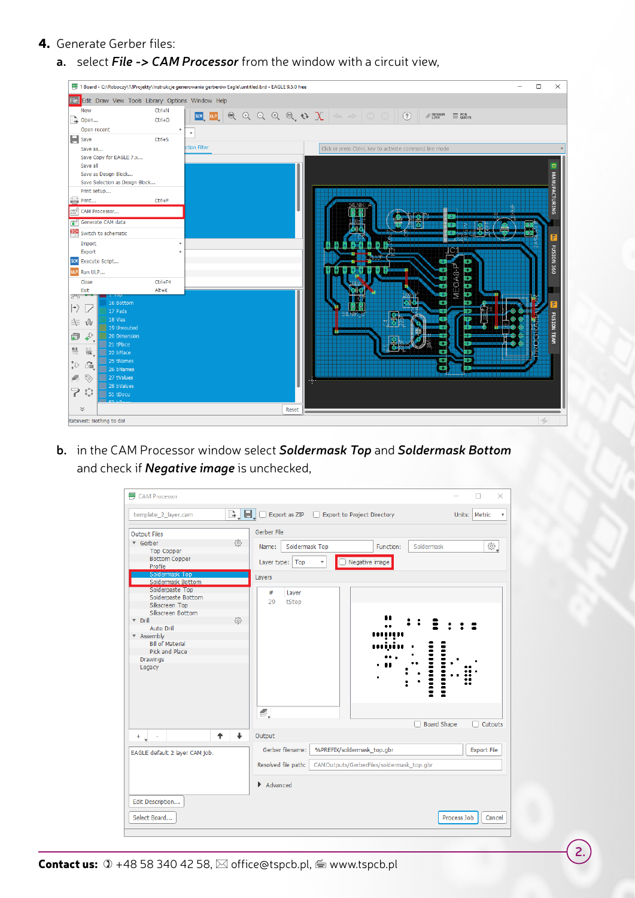## **4.** Generate Gerber files:

4. Przechodzimy do generowania plików gerber: **a.** select File -> CAM Processor from the window with a circuit view,

|                                                                                                                                                                                                                                                                                                                                                                                                                                                                                                                                                                                                                                                            |                                                                                                         | 1 Board - C:\Roboczy\!\!Projekty\Instrukcje generowania gerberów Eagle\untitled.brd - EAGLE 9.5.0 free                                                                                                                                                                       |                                                                   |                                                                 | □ | ×                                                 |
|------------------------------------------------------------------------------------------------------------------------------------------------------------------------------------------------------------------------------------------------------------------------------------------------------------------------------------------------------------------------------------------------------------------------------------------------------------------------------------------------------------------------------------------------------------------------------------------------------------------------------------------------------------|---------------------------------------------------------------------------------------------------------|------------------------------------------------------------------------------------------------------------------------------------------------------------------------------------------------------------------------------------------------------------------------------|-------------------------------------------------------------------|-----------------------------------------------------------------|---|---------------------------------------------------|
| Fle Edit Draw View Tools Library Options Window Help                                                                                                                                                                                                                                                                                                                                                                                                                                                                                                                                                                                                       |                                                                                                         |                                                                                                                                                                                                                                                                              |                                                                   |                                                                 |   |                                                   |
| New<br>Dopen                                                                                                                                                                                                                                                                                                                                                                                                                                                                                                                                                                                                                                               | $Ctrl + N$<br>$Ctrl + O$                                                                                | $\boxed{\text{SCR}}\boxed{\text{CP}}\boxed{\text{Q}}\boxed{\text{Q}}\boxed{\text{Q}}\boxed{\text{Q}}\boxed{\text{Q}}\boxed{\text{Q}}\boxed{\text{Q}}\boxed{\text{Q}}\boxed{\text{Q}}\boxed{\text{S}}\boxed{\text{S}}\approx\boxed{\text{S}}\boxed{\text{Q}}\boxed{\text{Q}}$ |                                                                   | $\mathcal{P}$ design<br>$\equiv$ $_{\text{QUOTE}}^{\text{PCB}}$ |   |                                                   |
| Open recent<br>$\mathbf{H}$ Save<br>Save as<br>Save Copy for EAGLE 7.x<br>Save all<br>Save as Design Block<br>Save Selection as Design Block<br>Print setup<br>Print<br>cAM Processor<br>Generate CAM data<br>SG Switch to schematic<br>Import<br>Export<br>SCR Execute Script<br>ULP Run ULP<br>Close<br>Exit<br>ೆಂ<br>16 Bottom<br>$\left\vert \rightarrow\right\rangle$<br>$\overline{\phantom{a}}$<br>17 Pads<br>18 Vias<br>三三<br>ปโ<br>19 Unrouted<br>$\uparrow$<br>H<br>20 Dimension<br>21 tPlace<br>$rac{R2}{10k}$<br>$\frac{\mathbb{R} \, 2}{10 \mathsf{k}}$<br>22 bPlace<br>25 tNames<br>$\downarrow^+$<br>œ<br>26 bNames<br>Ø<br>27 tValues<br>Æ | ×<br>$\overline{\mathbf v}$<br>$Ctrl + S$<br>ction Filter<br>$Ctrl + P$<br>þ.<br>$Ctrl + F4$<br>$Alt+X$ |                                                                                                                                                                                                                                                                              | Click or press Ctrl+L key to activate command line mode<br>SILNIK | MEGA8<br>÷                                                      |   | D MANUFACTURING<br>F<br>FUSION 360<br>FUSION TEAM |
| 28 bValues<br>7<br>$\begin{smallmatrix} 0 & 0 \\ 0 & 0 \end{smallmatrix}$<br>51 tDocu<br>$\breve{~}$                                                                                                                                                                                                                                                                                                                                                                                                                                                                                                                                                       |                                                                                                         | Reset                                                                                                                                                                                                                                                                        |                                                                   |                                                                 |   |                                                   |
| Ratsnest: Nothing to do!                                                                                                                                                                                                                                                                                                                                                                                                                                                                                                                                                                                                                                   |                                                                                                         |                                                                                                                                                                                                                                                                              |                                                                   |                                                                 |   |                                                   |

**b.** in the CAM Processor window select **Soldermask Top** and **Soldermask Bottom** and check if *Negative image* is unchecked, **produce** in the set of a

| CAM Processor                                                                                                                                                           |                                                                                                                                                                   | ×                     |
|-------------------------------------------------------------------------------------------------------------------------------------------------------------------------|-------------------------------------------------------------------------------------------------------------------------------------------------------------------|-----------------------|
| template_2_layer.cam                                                                                                                                                    | $\Box$ $\Box$ Export as ZIP $\Box$ Export to Project Directory                                                                                                    | Units: Metric         |
| <b>Output Files</b><br>▼ Gerber<br><b>Top Copper</b><br><b>Bottom Copper</b><br>Profile<br>Soldermask Top<br>Soldermask Bottom<br>Solderpaste Top<br>Solderpaste Bottom | Gerber File<br>53<br>Soldermask<br>Soldermask Top<br>Function:<br>Name:<br>Negative image<br>Layer type:   Top<br>$\overline{\mathbf{v}}$<br>Layers<br>#<br>Layer | 鑗.                    |
| Silkscreen Top<br>Silkscreen Bottom<br>$\nabla$ Drill<br>Auto Drill<br>▼ Assembly<br><b>Bill of Material</b><br>Pick and Place<br>Drawings<br>Legacy                    | 29<br>tStop<br>53                                                                                                                                                 |                       |
| ♠<br>$+$                                                                                                                                                                | Ø,<br><b>Board Shape</b><br>$\ddot{\phantom{0}}$<br>Output                                                                                                        | Cutouts               |
| EAGLE default 2 layer CAM job.                                                                                                                                          | Gerber filename:<br>%PREFIX/soldermask_top.gbr<br>Resolved file path:<br>CAMOutputs/GerberFiles/soldermask_top.gbr                                                | <b>Export File</b>    |
| Edit Description<br>Select Board                                                                                                                                        | $\blacktriangleright$ Advanced                                                                                                                                    | Process Job<br>Cancel |

**2.**

**Contact us:**  $\infty$  +48 58 340 42 58,  $\boxtimes$  office@tspcb.pl,  $\cong$  www.tspcb.pl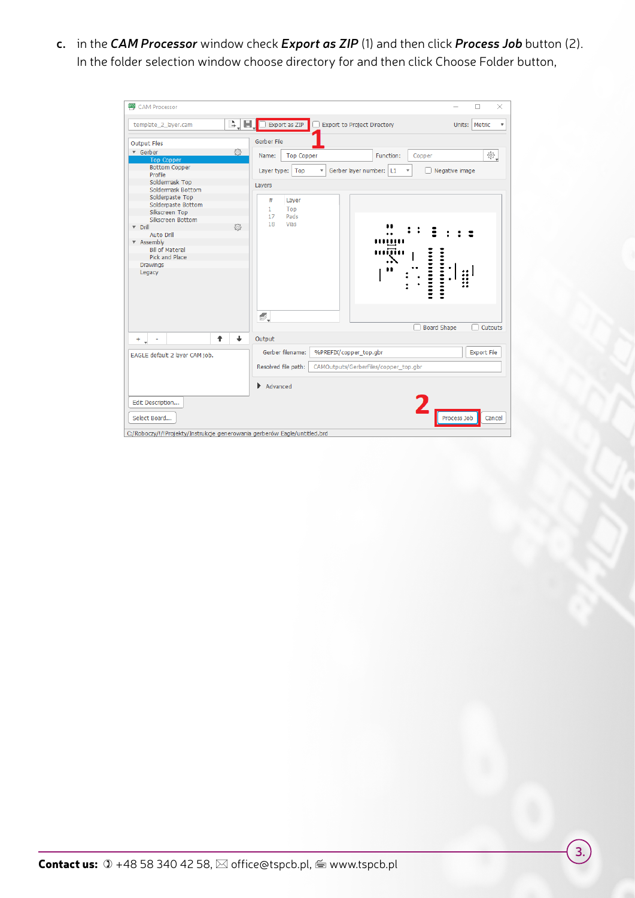**c.** in the **CAM Processor** window check **Export as ZIP** (1) and then click **Process Job** button (2). In the folder selection window choose directory for and then click Choose Folder button,

| BRO<br><b>CAM Processor</b>                                                             |                                                                                                             | $\times$<br>п                             |
|-----------------------------------------------------------------------------------------|-------------------------------------------------------------------------------------------------------------|-------------------------------------------|
| template 2 layer.cam                                                                    | 님.<br>À,<br>Export as ZIP<br>Export to Project Directory                                                    | Units:   Metric<br>$\overline{\mathbf v}$ |
| <b>Output Files</b>                                                                     | Gerber File                                                                                                 |                                           |
| ▼ Gerber<br><b>Top Copper</b><br><b>Bottom Copper</b>                                   | 흉<br><b>Top Copper</b><br>Function:<br>Name:<br>Copper<br>Gerber layer number: L1<br>Layer type:   Top<br>▼ | ₩.<br>Negative image                      |
| Profile<br>Soldermask Top<br>Soldermask Bottom<br>Solderpaste Top<br>Solderpaste Bottom | Layers<br>#<br>Layer<br>$\mathbf{1}$<br>Top                                                                 |                                           |
| Silkscreen Top<br>Silkscreen Bottom<br>$\nabla$ Drill<br>Auto Drill                     | 17<br>Pads<br>Vias<br>18<br>503                                                                             |                                           |
| ▼ Assembly<br><b>Bill of Material</b><br>Pick and Place<br>Drawings<br>Legacy           |                                                                                                             | $\mathop{\mathsf{in}}$                    |
|                                                                                         | s,                                                                                                          | <b>Board Shape</b><br>Cutouts             |
| ٠<br>$+$                                                                                | Ť<br>Output                                                                                                 |                                           |
| EAGLE default 2 layer CAM job.                                                          | Gerber filename:<br>%PREFIX/copper_top.gbr<br>Resolved file path:<br>CAMOutputs/GerberFiles/copper_top.gbr  | <b>Export File</b>                        |
|                                                                                         | Advanced                                                                                                    |                                           |
| Edit Description<br>Select Board                                                        |                                                                                                             | Process Job<br>Cancel                     |
| C:/Roboczy/!/!Projekty/Instrukcje generowania gerberów Eagle/untitled.brd               |                                                                                                             |                                           |